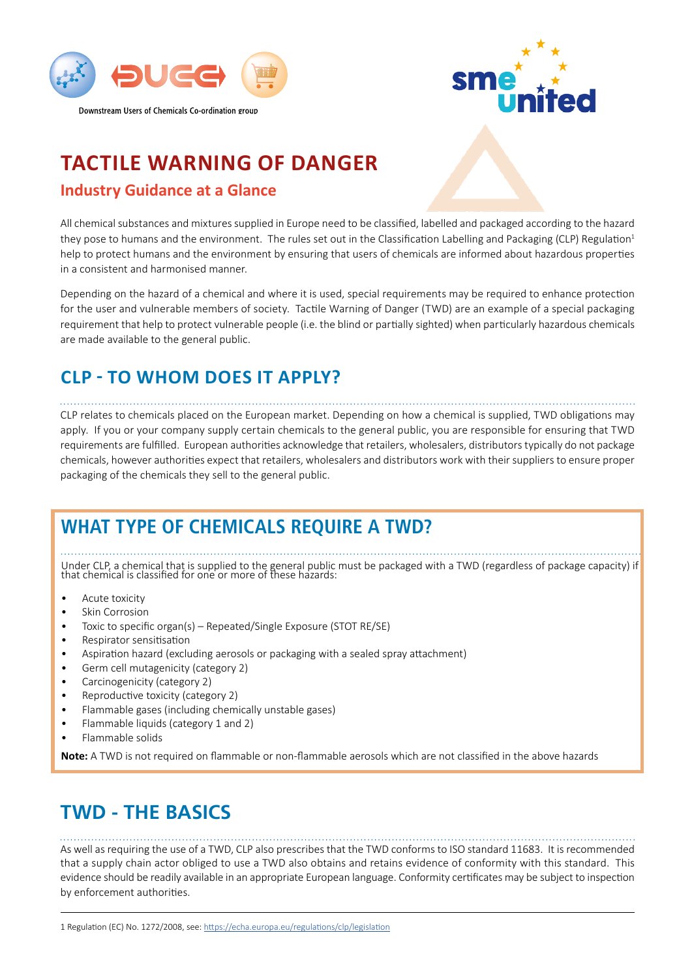



# **TACTILE WARNING OF DANGER**

#### **Industry Guidance at a Glance**

All chemical substances and mixtures supplied in Europe need to be classified, labelled and packaged according to the hazard they pose to humans and the environment. The rules set out in the Classification Labelling and Packaging (CLP) Regulation<sup>1</sup> help to protect humans and the environment by ensuring that users of chemicals are informed about hazardous properties in a consistent and harmonised manner.

Depending on the hazard of a chemical and where it is used, special requirements may be required to enhance protection for the user and vulnerable members of society. Tactile Warning of Danger (TWD) are an example of a special packaging requirement that help to protect vulnerable people (i.e. the blind or partially sighted) when particularly hazardous chemicals are made available to the general public.

### **CLP - TO WHOM DOES IT APPLY?**

CLP relates to chemicals placed on the European market. Depending on how a chemical is supplied, TWD obligations may apply. If you or your company supply certain chemicals to the general public, you are responsible for ensuring that TWD requirements are fulfilled. European authorities acknowledge that retailers, wholesalers, distributors typically do not package chemicals, however authorities expect that retailers, wholesalers and distributors work with their suppliers to ensure proper packaging of the chemicals they sell to the general public.

# **WHAT TYPE OF CHEMICALS REQUIRE A TWD?**

Under CLP, a chemical that is supplied to the general public must be packaged with a TWD (regardless of package capacity) if that chemical is classified for one or more of these hazards:

- Acute toxicity
- **Skin Corrosion**
- Toxic to specific organ(s) Repeated/Single Exposure (STOT RE/SE)
- Respirator sensitisation
- Aspiration hazard (excluding aerosols or packaging with a sealed spray attachment)
- Germ cell mutagenicity (category 2)
- Carcinogenicity (category 2)
- Reproductive toxicity (category 2)
- Flammable gases (including chemically unstable gases)
- Flammable liquids (category 1 and 2)
- Flammable solids

**Note:** A TWD is not required on flammable or non-flammable aerosols which are not classified in the above hazards

# **TWD - THE BASICS**

As well as requiring the use of a TWD, CLP also prescribes that the TWD conforms to ISO standard 11683. It is recommended that a supply chain actor obliged to use a TWD also obtains and retains evidence of conformity with this standard. This evidence should be readily available in an appropriate European language. Conformity certificates may be subject to inspection by enforcement authorities.